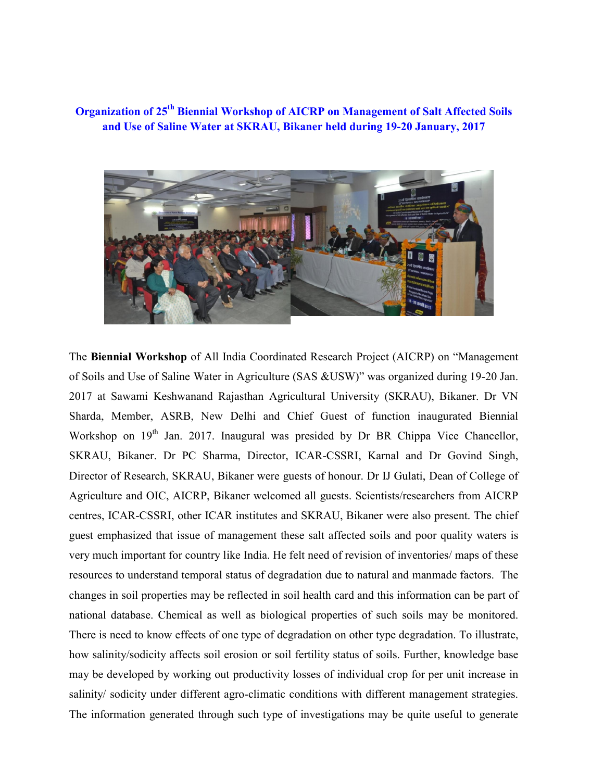Organization of 25<sup>th</sup> Biennial Workshop of AICRP on Management of Salt Affected Soils and Use of Saline Water at SKRAU, Bikaner held during 19-20 January, 2017



The Biennial Workshop of All India Coordinated Research Project (AICRP) on "Management of Soils and Use of Saline Water in Agriculture (SAS &USW)" was organized during 19-20 Jan. 2017 at Sawami Keshwanand Rajasthan Agricultural University (SKRAU), Bikaner. Dr VN Sharda, Member, ASRB, New Delhi and Chief Guest of function inaugurated Biennial Workshop on  $19<sup>th</sup>$  Jan. 2017. Inaugural was presided by Dr BR Chippa Vice Chancellor, SKRAU, Bikaner. Dr PC Sharma, Director, ICAR-CSSRI, Karnal and Dr Govind Singh, Director of Research, SKRAU, Bikaner were guests of honour. Dr IJ Gulati, Dean of College of Agriculture and OIC, AICRP, Bikaner welcomed all guests. Scientists/researchers from AICRP centres, ICAR-CSSRI, other ICAR institutes and SKRAU, Bikaner were also present. The chief guest emphasized that issue of management these salt affected soils and poor quality waters is very much important for country like India. He felt need of revision of inventories/ maps of these resources to understand temporal status of degradation due to natural and manmade factors. The changes in soil properties may be reflected in soil health card and this information can be part of national database. Chemical as well as biological properties of such soils may be monitored. There is need to know effects of one type of degradation on other type degradation. To illustrate, how salinity/sodicity affects soil erosion or soil fertility status of soils. Further, knowledge base may be developed by working out productivity losses of individual crop for per unit increase in salinity/ sodicity under different agro-climatic conditions with different management strategies. The information generated through such type of investigations may be quite useful to generate